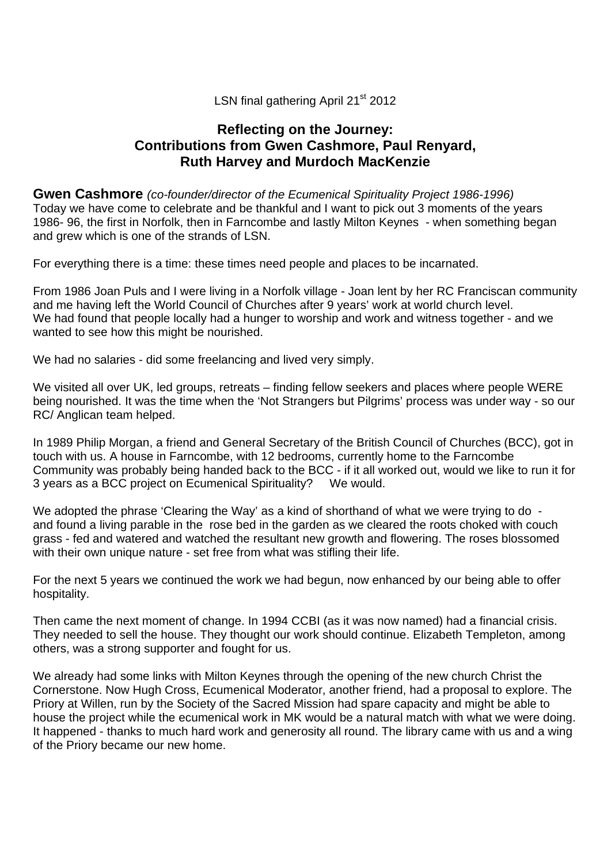### LSN final gathering April 21<sup>st</sup> 2012

# **Reflecting on the Journey: Contributions from Gwen Cashmore, Paul Renyard, Ruth Harvey and Murdoch MacKenzie**

**Gwen Cashmore** *(co-founder/director of the Ecumenical Spirituality Project 1986-1996)*  Today we have come to celebrate and be thankful and I want to pick out 3 moments of the years 1986- 96, the first in Norfolk, then in Farncombe and lastly Milton Keynes - when something began and grew which is one of the strands of LSN.

For everything there is a time: these times need people and places to be incarnated.

From 1986 Joan Puls and I were living in a Norfolk village - Joan lent by her RC Franciscan community and me having left the World Council of Churches after 9 years' work at world church level. We had found that people locally had a hunger to worship and work and witness together - and we wanted to see how this might be nourished.

We had no salaries - did some freelancing and lived very simply.

We visited all over UK, led groups, retreats – finding fellow seekers and places where people WERE being nourished. It was the time when the 'Not Strangers but Pilgrims' process was under way - so our RC/ Anglican team helped.

In 1989 Philip Morgan, a friend and General Secretary of the British Council of Churches (BCC), got in touch with us. A house in Farncombe, with 12 bedrooms, currently home to the Farncombe Community was probably being handed back to the BCC - if it all worked out, would we like to run it for 3 years as a BCC project on Ecumenical Spirituality? We would.

We adopted the phrase 'Clearing the Way' as a kind of shorthand of what we were trying to do and found a living parable in the rose bed in the garden as we cleared the roots choked with couch grass - fed and watered and watched the resultant new growth and flowering. The roses blossomed with their own unique nature - set free from what was stifling their life.

For the next 5 years we continued the work we had begun, now enhanced by our being able to offer hospitality.

Then came the next moment of change. In 1994 CCBI (as it was now named) had a financial crisis. They needed to sell the house. They thought our work should continue. Elizabeth Templeton, among others, was a strong supporter and fought for us.

We already had some links with Milton Keynes through the opening of the new church Christ the Cornerstone. Now Hugh Cross, Ecumenical Moderator, another friend, had a proposal to explore. The Priory at Willen, run by the Society of the Sacred Mission had spare capacity and might be able to house the project while the ecumenical work in MK would be a natural match with what we were doing. It happened - thanks to much hard work and generosity all round. The library came with us and a wing of the Priory became our new home.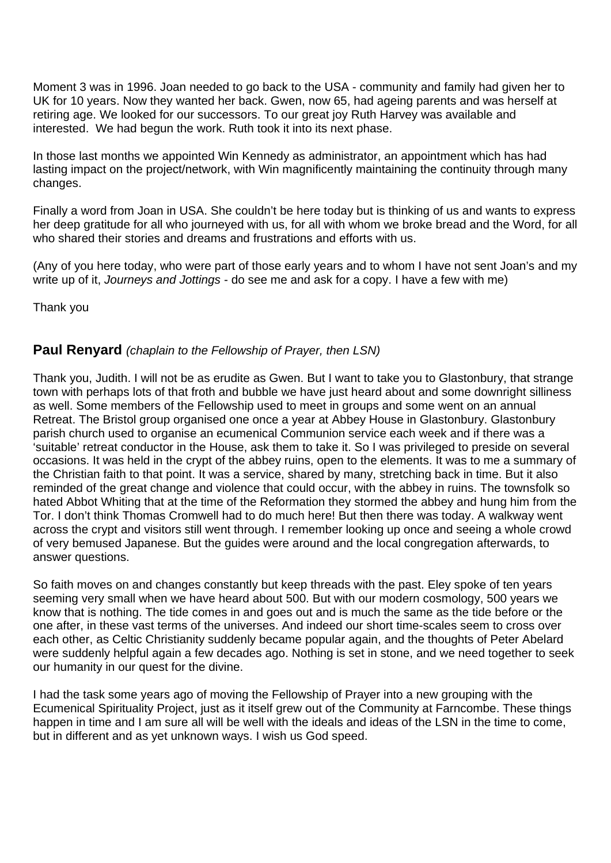Moment 3 was in 1996. Joan needed to go back to the USA - community and family had given her to UK for 10 years. Now they wanted her back. Gwen, now 65, had ageing parents and was herself at retiring age. We looked for our successors. To our great joy Ruth Harvey was available and interested. We had begun the work. Ruth took it into its next phase.

In those last months we appointed Win Kennedy as administrator, an appointment which has had lasting impact on the project/network, with Win magnificently maintaining the continuity through many changes.

Finally a word from Joan in USA. She couldn't be here today but is thinking of us and wants to express her deep gratitude for all who journeyed with us, for all with whom we broke bread and the Word, for all who shared their stories and dreams and frustrations and efforts with us.

(Any of you here today, who were part of those early years and to whom I have not sent Joan's and my write up of it, *Journeys and Jottings* - do see me and ask for a copy. I have a few with me)

Thank you

### **Paul Renyard** *(chaplain to the Fellowship of Prayer, then LSN)*

Thank you, Judith. I will not be as erudite as Gwen. But I want to take you to Glastonbury, that strange town with perhaps lots of that froth and bubble we have just heard about and some downright silliness as well. Some members of the Fellowship used to meet in groups and some went on an annual Retreat. The Bristol group organised one once a year at Abbey House in Glastonbury. Glastonbury parish church used to organise an ecumenical Communion service each week and if there was a 'suitable' retreat conductor in the House, ask them to take it. So I was privileged to preside on several occasions. It was held in the crypt of the abbey ruins, open to the elements. It was to me a summary of the Christian faith to that point. It was a service, shared by many, stretching back in time. But it also reminded of the great change and violence that could occur, with the abbey in ruins. The townsfolk so hated Abbot Whiting that at the time of the Reformation they stormed the abbey and hung him from the Tor. I don't think Thomas Cromwell had to do much here! But then there was today. A walkway went across the crypt and visitors still went through. I remember looking up once and seeing a whole crowd of very bemused Japanese. But the guides were around and the local congregation afterwards, to answer questions.

So faith moves on and changes constantly but keep threads with the past. Eley spoke of ten years seeming very small when we have heard about 500. But with our modern cosmology, 500 years we know that is nothing. The tide comes in and goes out and is much the same as the tide before or the one after, in these vast terms of the universes. And indeed our short time-scales seem to cross over each other, as Celtic Christianity suddenly became popular again, and the thoughts of Peter Abelard were suddenly helpful again a few decades ago. Nothing is set in stone, and we need together to seek our humanity in our quest for the divine.

I had the task some years ago of moving the Fellowship of Prayer into a new grouping with the Ecumenical Spirituality Project, just as it itself grew out of the Community at Farncombe. These things happen in time and I am sure all will be well with the ideals and ideas of the LSN in the time to come, but in different and as yet unknown ways. I wish us God speed.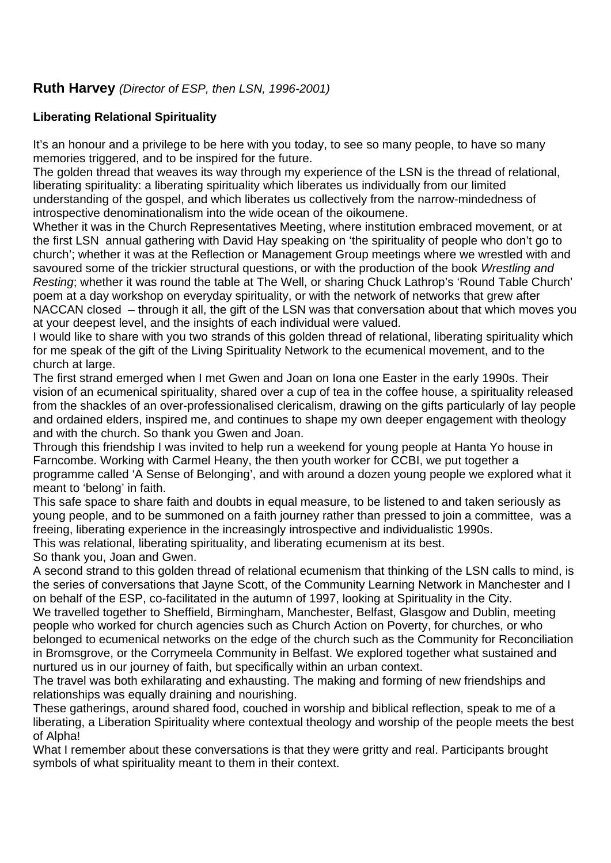## **Ruth Harvey** *(Director of ESP, then LSN, 1996-2001)*

### **Liberating Relational Spirituality**

It's an honour and a privilege to be here with you today, to see so many people, to have so many memories triggered, and to be inspired for the future.

The golden thread that weaves its way through my experience of the LSN is the thread of relational, liberating spirituality: a liberating spirituality which liberates us individually from our limited understanding of the gospel, and which liberates us collectively from the narrow-mindedness of introspective denominationalism into the wide ocean of the oikoumene.

Whether it was in the Church Representatives Meeting, where institution embraced movement, or at the first LSN annual gathering with David Hay speaking on 'the spirituality of people who don't go to church'; whether it was at the Reflection or Management Group meetings where we wrestled with and savoured some of the trickier structural questions, or with the production of the book *Wrestling and Resting*; whether it was round the table at The Well, or sharing Chuck Lathrop's 'Round Table Church' poem at a day workshop on everyday spirituality, or with the network of networks that grew after NACCAN closed – through it all, the gift of the LSN was that conversation about that which moves you at your deepest level, and the insights of each individual were valued.

I would like to share with you two strands of this golden thread of relational, liberating spirituality which for me speak of the gift of the Living Spirituality Network to the ecumenical movement, and to the church at large.

The first strand emerged when I met Gwen and Joan on Iona one Easter in the early 1990s. Their vision of an ecumenical spirituality, shared over a cup of tea in the coffee house, a spirituality released from the shackles of an over-professionalised clericalism, drawing on the gifts particularly of lay people and ordained elders, inspired me, and continues to shape my own deeper engagement with theology and with the church. So thank you Gwen and Joan.

Through this friendship I was invited to help run a weekend for young people at Hanta Yo house in Farncombe. Working with Carmel Heany, the then youth worker for CCBI, we put together a programme called 'A Sense of Belonging', and with around a dozen young people we explored what it meant to 'belong' in faith.

This safe space to share faith and doubts in equal measure, to be listened to and taken seriously as young people, and to be summoned on a faith journey rather than pressed to join a committee, was a freeing, liberating experience in the increasingly introspective and individualistic 1990s. This was relational, liberating spirituality, and liberating ecumenism at its best.

So thank you, Joan and Gwen.

A second strand to this golden thread of relational ecumenism that thinking of the LSN calls to mind, is the series of conversations that Jayne Scott, of the Community Learning Network in Manchester and I on behalf of the ESP, co-facilitated in the autumn of 1997, looking at Spirituality in the City. We travelled together to Sheffield, Birmingham, Manchester, Belfast, Glasgow and Dublin, meeting people who worked for church agencies such as Church Action on Poverty, for churches, or who belonged to ecumenical networks on the edge of the church such as the Community for Reconciliation in Bromsgrove, or the Corrymeela Community in Belfast. We explored together what sustained and nurtured us in our journey of faith, but specifically within an urban context.

The travel was both exhilarating and exhausting. The making and forming of new friendships and relationships was equally draining and nourishing.

These gatherings, around shared food, couched in worship and biblical reflection, speak to me of a liberating, a Liberation Spirituality where contextual theology and worship of the people meets the best of Alpha!

What I remember about these conversations is that they were gritty and real. Participants brought symbols of what spirituality meant to them in their context.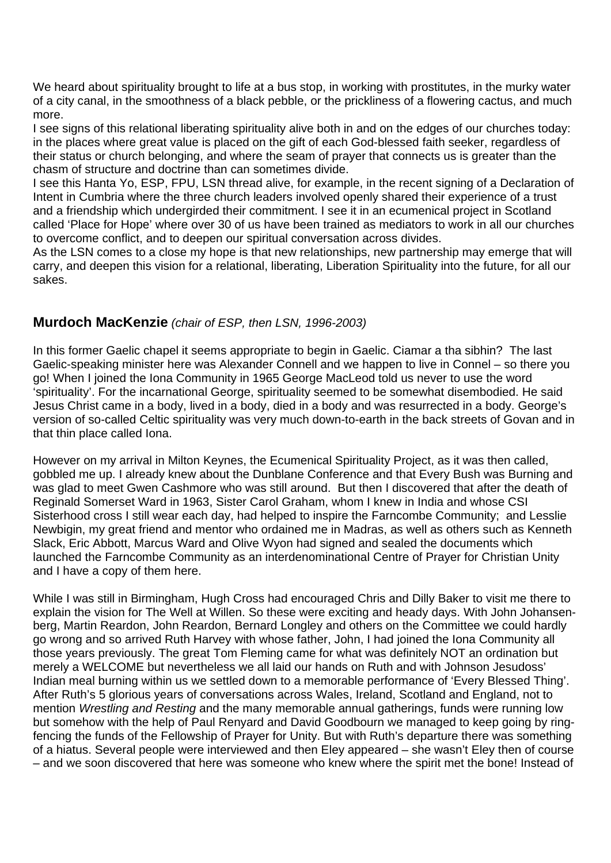We heard about spirituality brought to life at a bus stop, in working with prostitutes, in the murky water of a city canal, in the smoothness of a black pebble, or the prickliness of a flowering cactus, and much more.

I see signs of this relational liberating spirituality alive both in and on the edges of our churches today: in the places where great value is placed on the gift of each God-blessed faith seeker, regardless of their status or church belonging, and where the seam of prayer that connects us is greater than the chasm of structure and doctrine than can sometimes divide.

I see this Hanta Yo, ESP, FPU, LSN thread alive, for example, in the recent signing of a Declaration of Intent in Cumbria where the three church leaders involved openly shared their experience of a trust and a friendship which undergirded their commitment. I see it in an ecumenical project in Scotland called 'Place for Hope' where over 30 of us have been trained as mediators to work in all our churches to overcome conflict, and to deepen our spiritual conversation across divides.

As the LSN comes to a close my hope is that new relationships, new partnership may emerge that will carry, and deepen this vision for a relational, liberating, Liberation Spirituality into the future, for all our sakes.

## **Murdoch MacKenzie** *(chair of ESP, then LSN, 1996-2003)*

In this former Gaelic chapel it seems appropriate to begin in Gaelic. Ciamar a tha sibhin? The last Gaelic-speaking minister here was Alexander Connell and we happen to live in Connel – so there you go! When I joined the Iona Community in 1965 George MacLeod told us never to use the word 'spirituality'. For the incarnational George, spirituality seemed to be somewhat disembodied. He said Jesus Christ came in a body, lived in a body, died in a body and was resurrected in a body. George's version of so-called Celtic spirituality was very much down-to-earth in the back streets of Govan and in that thin place called Iona.

However on my arrival in Milton Keynes, the Ecumenical Spirituality Project, as it was then called, gobbled me up. I already knew about the Dunblane Conference and that Every Bush was Burning and was glad to meet Gwen Cashmore who was still around. But then I discovered that after the death of Reginald Somerset Ward in 1963, Sister Carol Graham, whom I knew in India and whose CSI Sisterhood cross I still wear each day, had helped to inspire the Farncombe Community; and Lesslie Newbigin, my great friend and mentor who ordained me in Madras, as well as others such as Kenneth Slack, Eric Abbott, Marcus Ward and Olive Wyon had signed and sealed the documents which launched the Farncombe Community as an interdenominational Centre of Prayer for Christian Unity and I have a copy of them here.

While I was still in Birmingham, Hugh Cross had encouraged Chris and Dilly Baker to visit me there to explain the vision for The Well at Willen. So these were exciting and heady days. With John Johansenberg, Martin Reardon, John Reardon, Bernard Longley and others on the Committee we could hardly go wrong and so arrived Ruth Harvey with whose father, John, I had joined the Iona Community all those years previously. The great Tom Fleming came for what was definitely NOT an ordination but merely a WELCOME but nevertheless we all laid our hands on Ruth and with Johnson Jesudoss' Indian meal burning within us we settled down to a memorable performance of 'Every Blessed Thing'. After Ruth's 5 glorious years of conversations across Wales, Ireland, Scotland and England, not to mention *Wrestling and Resting* and the many memorable annual gatherings, funds were running low but somehow with the help of Paul Renyard and David Goodbourn we managed to keep going by ringfencing the funds of the Fellowship of Prayer for Unity. But with Ruth's departure there was something of a hiatus. Several people were interviewed and then Eley appeared – she wasn't Eley then of course – and we soon discovered that here was someone who knew where the spirit met the bone! Instead of